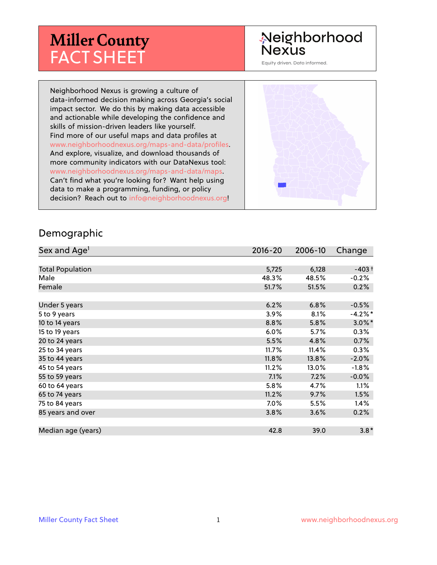# **Miller County** FACT SHEET

# Neighborhood **Nexus**

Equity driven. Data informed.

Neighborhood Nexus is growing a culture of data-informed decision making across Georgia's social impact sector. We do this by making data accessible and actionable while developing the confidence and skills of mission-driven leaders like yourself. Find more of our useful maps and data profiles at www.neighborhoodnexus.org/maps-and-data/profiles. And explore, visualize, and download thousands of more community indicators with our DataNexus tool: www.neighborhoodnexus.org/maps-and-data/maps. Can't find what you're looking for? Want help using data to make a programming, funding, or policy decision? Reach out to [info@neighborhoodnexus.org!](mailto:info@neighborhoodnexus.org)



#### Demographic

| Sex and Age <sup>1</sup> | $2016 - 20$ | 2006-10 | Change    |
|--------------------------|-------------|---------|-----------|
|                          |             |         |           |
| <b>Total Population</b>  | 5,725       | 6,128   | $-403+$   |
| Male                     | 48.3%       | 48.5%   | $-0.2%$   |
| Female                   | 51.7%       | 51.5%   | 0.2%      |
|                          |             |         |           |
| Under 5 years            | 6.2%        | 6.8%    | $-0.5%$   |
| 5 to 9 years             | 3.9%        | 8.1%    | $-4.2%$ * |
| 10 to 14 years           | 8.8%        | 5.8%    | $3.0\%$ * |
| 15 to 19 years           | 6.0%        | 5.7%    | 0.3%      |
| 20 to 24 years           | 5.5%        | 4.8%    | 0.7%      |
| 25 to 34 years           | 11.7%       | 11.4%   | 0.3%      |
| 35 to 44 years           | 11.8%       | 13.8%   | $-2.0%$   |
| 45 to 54 years           | 11.2%       | 13.0%   | $-1.8%$   |
| 55 to 59 years           | 7.1%        | 7.2%    | $-0.0%$   |
| 60 to 64 years           | 5.8%        | 4.7%    | 1.1%      |
| 65 to 74 years           | 11.2%       | 9.7%    | 1.5%      |
| 75 to 84 years           | 7.0%        | 5.5%    | $1.4\%$   |
| 85 years and over        | 3.8%        | 3.6%    | 0.2%      |
|                          |             |         |           |
| Median age (years)       | 42.8        | 39.0    | $3.8*$    |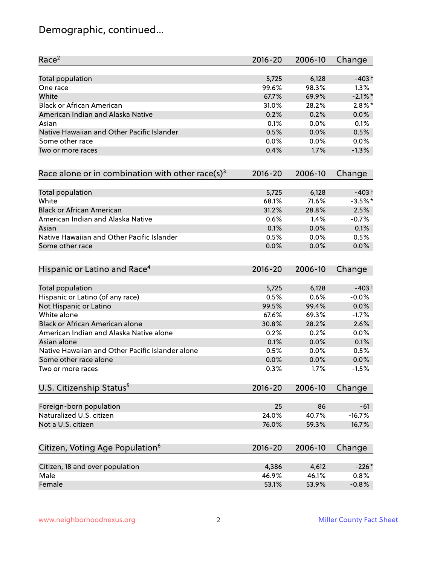# Demographic, continued...

| Race <sup>2</sup>                                            | $2016 - 20$ | 2006-10 | Change     |
|--------------------------------------------------------------|-------------|---------|------------|
| <b>Total population</b>                                      | 5,725       | 6,128   | $-403+$    |
| One race                                                     | 99.6%       | 98.3%   | 1.3%       |
| White                                                        | 67.7%       | 69.9%   | $-2.1\%$ * |
| <b>Black or African American</b>                             | 31.0%       | 28.2%   | $2.8\%$ *  |
| American Indian and Alaska Native                            | 0.2%        | 0.2%    | 0.0%       |
| Asian                                                        | 0.1%        | 0.0%    | 0.1%       |
| Native Hawaiian and Other Pacific Islander                   | 0.5%        | 0.0%    | 0.5%       |
| Some other race                                              | 0.0%        | 0.0%    | 0.0%       |
| Two or more races                                            | 0.4%        | 1.7%    | $-1.3%$    |
| Race alone or in combination with other race(s) <sup>3</sup> | $2016 - 20$ | 2006-10 | Change     |
| Total population                                             | 5,725       | 6,128   | $-403+$    |
| White                                                        | 68.1%       | 71.6%   | $-3.5%$ *  |
| <b>Black or African American</b>                             | 31.2%       | 28.8%   | 2.5%       |
| American Indian and Alaska Native                            | 0.6%        | 1.4%    | $-0.7%$    |
| Asian                                                        | 0.1%        | 0.0%    | 0.1%       |
| Native Hawaiian and Other Pacific Islander                   | 0.5%        | 0.0%    | 0.5%       |
| Some other race                                              | 0.0%        | 0.0%    | 0.0%       |
| Hispanic or Latino and Race <sup>4</sup>                     | $2016 - 20$ | 2006-10 | Change     |
| <b>Total population</b>                                      | 5,725       | 6,128   | $-403+$    |
| Hispanic or Latino (of any race)                             | 0.5%        | 0.6%    | $-0.0%$    |
| Not Hispanic or Latino                                       | 99.5%       | 99.4%   | 0.0%       |
| White alone                                                  | 67.6%       | 69.3%   | $-1.7%$    |
| Black or African American alone                              | 30.8%       | 28.2%   | 2.6%       |
| American Indian and Alaska Native alone                      | 0.2%        | 0.2%    | 0.0%       |
| Asian alone                                                  | 0.1%        | 0.0%    | 0.1%       |
| Native Hawaiian and Other Pacific Islander alone             | 0.5%        | 0.0%    | 0.5%       |
| Some other race alone                                        | 0.0%        | 0.0%    | 0.0%       |
| Two or more races                                            | 0.3%        | 1.7%    | $-1.5%$    |
| U.S. Citizenship Status <sup>5</sup>                         | $2016 - 20$ | 2006-10 | Change     |
| Foreign-born population                                      | 25          | 86      | $-61$      |
| Naturalized U.S. citizen                                     | 24.0%       | 40.7%   | $-16.7%$   |
| Not a U.S. citizen                                           | 76.0%       | 59.3%   | 16.7%      |
| Citizen, Voting Age Population <sup>6</sup>                  | $2016 - 20$ | 2006-10 | Change     |
|                                                              |             |         |            |
| Citizen, 18 and over population                              | 4,386       | 4,612   | $-226*$    |
| Male                                                         | 46.9%       | 46.1%   | 0.8%       |
| Female                                                       | 53.1%       | 53.9%   | $-0.8%$    |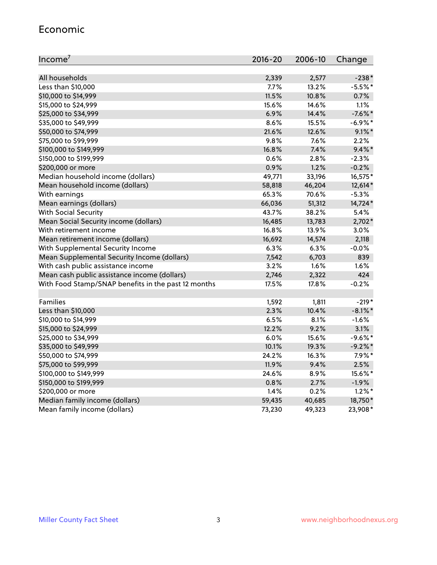#### Economic

| Income <sup>7</sup>                                 | $2016 - 20$ | 2006-10 | Change     |
|-----------------------------------------------------|-------------|---------|------------|
|                                                     |             |         |            |
| All households                                      | 2,339       | 2,577   | $-238*$    |
| Less than \$10,000                                  | 7.7%        | 13.2%   | $-5.5%$ *  |
| \$10,000 to \$14,999                                | 11.5%       | 10.8%   | 0.7%       |
| \$15,000 to \$24,999                                | 15.6%       | 14.6%   | 1.1%       |
| \$25,000 to \$34,999                                | 6.9%        | 14.4%   | $-7.6\%$ * |
| \$35,000 to \$49,999                                | 8.6%        | 15.5%   | $-6.9\%$ * |
| \$50,000 to \$74,999                                | 21.6%       | 12.6%   | $9.1\%$ *  |
| \$75,000 to \$99,999                                | 9.8%        | 7.6%    | 2.2%       |
| \$100,000 to \$149,999                              | 16.8%       | 7.4%    | $9.4\%$ *  |
| \$150,000 to \$199,999                              | 0.6%        | 2.8%    | $-2.3%$    |
| \$200,000 or more                                   | 0.9%        | 1.2%    | $-0.2%$    |
| Median household income (dollars)                   | 49,771      | 33,196  | 16,575*    |
| Mean household income (dollars)                     | 58,818      | 46,204  | 12,614*    |
| With earnings                                       | 65.3%       | 70.6%   | $-5.3%$    |
| Mean earnings (dollars)                             | 66,036      | 51,312  | 14,724*    |
| <b>With Social Security</b>                         | 43.7%       | 38.2%   | 5.4%       |
| Mean Social Security income (dollars)               | 16,485      | 13,783  | $2,702*$   |
| With retirement income                              | 16.8%       | 13.9%   | 3.0%       |
| Mean retirement income (dollars)                    | 16,692      | 14,574  | 2,118      |
| With Supplemental Security Income                   | 6.3%        | 6.3%    | $-0.0%$    |
| Mean Supplemental Security Income (dollars)         | 7,542       | 6,703   | 839        |
| With cash public assistance income                  | 3.2%        | 1.6%    | $1.6\%$    |
| Mean cash public assistance income (dollars)        | 2,746       | 2,322   | 424        |
| With Food Stamp/SNAP benefits in the past 12 months | 17.5%       | 17.8%   | $-0.2%$    |
|                                                     |             |         |            |
| Families                                            | 1,592       | 1,811   | $-219*$    |
| Less than \$10,000                                  | 2.3%        | 10.4%   | $-8.1\%$ * |
| \$10,000 to \$14,999                                | 6.5%        | 8.1%    | $-1.6%$    |
| \$15,000 to \$24,999                                | 12.2%       | 9.2%    | 3.1%       |
| \$25,000 to \$34,999                                | 6.0%        | 15.6%   | $-9.6%$ *  |
| \$35,000 to \$49,999                                | 10.1%       | 19.3%   | $-9.2%$    |
| \$50,000 to \$74,999                                | 24.2%       | 16.3%   | $7.9\%$ *  |
| \$75,000 to \$99,999                                | 11.9%       | 9.4%    | 2.5%       |
| \$100,000 to \$149,999                              | 24.6%       | 8.9%    | 15.6%*     |
| \$150,000 to \$199,999                              | 0.8%        | 2.7%    | $-1.9%$    |
| \$200,000 or more                                   | 1.4%        | 0.2%    | $1.2\%$ *  |
| Median family income (dollars)                      | 59,435      | 40,685  | 18,750*    |
| Mean family income (dollars)                        | 73,230      | 49,323  | 23,908*    |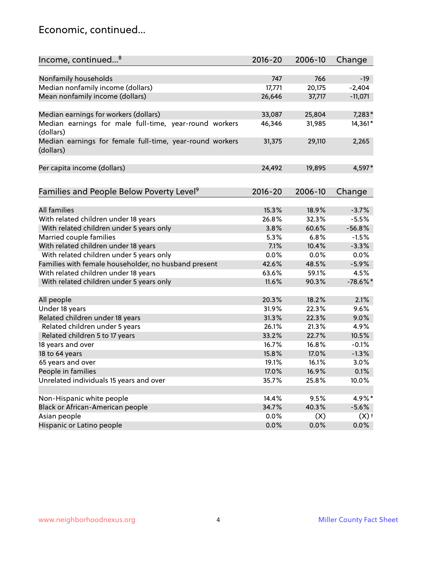### Economic, continued...

| Income, continued <sup>8</sup>                                        | $2016 - 20$ | 2006-10 | Change     |
|-----------------------------------------------------------------------|-------------|---------|------------|
|                                                                       |             |         |            |
| Nonfamily households                                                  | 747         | 766     | $-19$      |
| Median nonfamily income (dollars)                                     | 17,771      | 20,175  | $-2,404$   |
| Mean nonfamily income (dollars)                                       | 26,646      | 37,717  | $-11,071$  |
| Median earnings for workers (dollars)                                 | 33,087      | 25,804  | 7,283*     |
| Median earnings for male full-time, year-round workers                | 46,346      | 31,985  | 14,361*    |
| (dollars)                                                             |             |         |            |
| Median earnings for female full-time, year-round workers<br>(dollars) | 31,375      | 29,110  | 2,265      |
| Per capita income (dollars)                                           | 24,492      | 19,895  | 4,597*     |
|                                                                       |             |         |            |
| Families and People Below Poverty Level <sup>9</sup>                  | $2016 - 20$ | 2006-10 | Change     |
|                                                                       |             |         |            |
| <b>All families</b>                                                   | 15.3%       | 18.9%   | $-3.7%$    |
| With related children under 18 years                                  | 26.8%       | 32.3%   | $-5.5%$    |
| With related children under 5 years only                              | 3.8%        | 60.6%   | $-56.8%$   |
| Married couple families                                               | 5.3%        | 6.8%    | $-1.5%$    |
| With related children under 18 years                                  | 7.1%        | 10.4%   | $-3.3%$    |
| With related children under 5 years only                              | 0.0%        | 0.0%    | 0.0%       |
| Families with female householder, no husband present                  | 42.6%       | 48.5%   | $-5.9%$    |
| With related children under 18 years                                  | 63.6%       | 59.1%   | 4.5%       |
| With related children under 5 years only                              | 11.6%       | 90.3%   | $-78.6%$ * |
| All people                                                            | 20.3%       | 18.2%   | 2.1%       |
| Under 18 years                                                        | 31.9%       | 22.3%   | 9.6%       |
| Related children under 18 years                                       | 31.3%       | 22.3%   | 9.0%       |
| Related children under 5 years                                        | 26.1%       | 21.3%   | 4.9%       |
| Related children 5 to 17 years                                        | 33.2%       | 22.7%   | 10.5%      |
| 18 years and over                                                     | 16.7%       | 16.8%   | $-0.1%$    |
| 18 to 64 years                                                        | 15.8%       | 17.0%   | $-1.3%$    |
| 65 years and over                                                     | 19.1%       | 16.1%   | 3.0%       |
| People in families                                                    | 17.0%       | 16.9%   | 0.1%       |
| Unrelated individuals 15 years and over                               | 35.7%       | 25.8%   | 10.0%      |
|                                                                       |             |         |            |
| Non-Hispanic white people                                             | 14.4%       | 9.5%    | 4.9%*      |
| Black or African-American people                                      | 34.7%       | 40.3%   | $-5.6%$    |
| Asian people                                                          | $0.0\%$     | (X)     | $(X)$ +    |
| Hispanic or Latino people                                             | 0.0%        | 0.0%    | $0.0\%$    |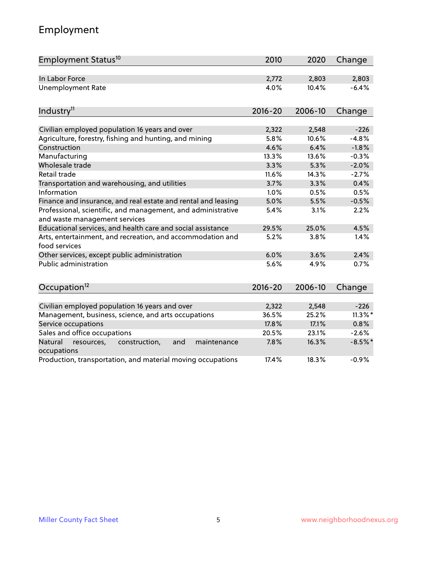# Employment

| Employment Status <sup>10</sup>                                                               | 2010        | 2020    | Change     |
|-----------------------------------------------------------------------------------------------|-------------|---------|------------|
| In Labor Force                                                                                | 2,772       | 2,803   | 2,803      |
| <b>Unemployment Rate</b>                                                                      | 4.0%        | 10.4%   | $-6.4%$    |
|                                                                                               |             |         |            |
| Industry <sup>11</sup>                                                                        | $2016 - 20$ | 2006-10 | Change     |
|                                                                                               |             |         |            |
| Civilian employed population 16 years and over                                                | 2,322       | 2,548   | $-226$     |
| Agriculture, forestry, fishing and hunting, and mining                                        | 5.8%        | 10.6%   | $-4.8%$    |
| Construction                                                                                  | 4.6%        | 6.4%    | $-1.8%$    |
| Manufacturing                                                                                 | 13.3%       | 13.6%   | $-0.3%$    |
| Wholesale trade                                                                               | 3.3%        | 5.3%    | $-2.0%$    |
| Retail trade                                                                                  | 11.6%       | 14.3%   | $-2.7%$    |
| Transportation and warehousing, and utilities                                                 | 3.7%        | 3.3%    | 0.4%       |
| Information                                                                                   | 1.0%        | 0.5%    | 0.5%       |
| Finance and insurance, and real estate and rental and leasing                                 | 5.0%        | 5.5%    | $-0.5%$    |
| Professional, scientific, and management, and administrative<br>and waste management services | 5.4%        | 3.1%    | 2.2%       |
| Educational services, and health care and social assistance                                   | 29.5%       | 25.0%   | 4.5%       |
| Arts, entertainment, and recreation, and accommodation and<br>food services                   | 5.2%        | 3.8%    | 1.4%       |
| Other services, except public administration                                                  | 6.0%        | 3.6%    | 2.4%       |
| <b>Public administration</b>                                                                  | 5.6%        | 4.9%    | 0.7%       |
| Occupation <sup>12</sup>                                                                      | $2016 - 20$ | 2006-10 | Change     |
|                                                                                               |             |         |            |
| Civilian employed population 16 years and over                                                | 2,322       | 2,548   | $-226$     |
| Management, business, science, and arts occupations                                           | 36.5%       | 25.2%   | $11.3\%$ * |
| Service occupations                                                                           | 17.8%       | 17.1%   | 0.8%       |
| Sales and office occupations                                                                  | 20.5%       | 23.1%   | $-2.6%$    |
| Natural<br>resources,<br>construction,<br>and<br>maintenance<br>occupations                   | 7.8%        | 16.3%   | $-8.5%$ *  |
| Production, transportation, and material moving occupations                                   | 17.4%       | 18.3%   | $-0.9%$    |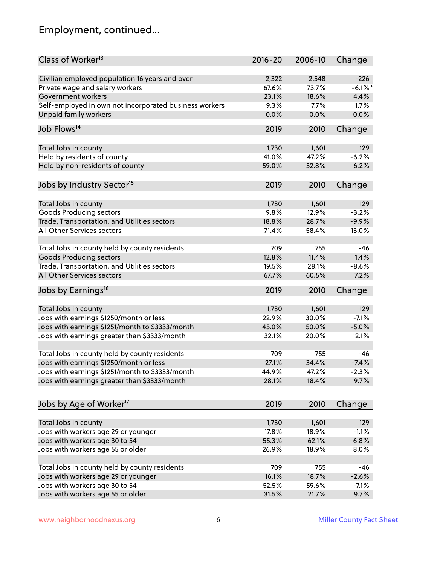# Employment, continued...

| Class of Worker <sup>13</sup>                          | $2016 - 20$ | 2006-10 | Change     |
|--------------------------------------------------------|-------------|---------|------------|
| Civilian employed population 16 years and over         | 2,322       | 2,548   | $-226$     |
| Private wage and salary workers                        | 67.6%       | 73.7%   | $-6.1\%$ * |
| Government workers                                     | 23.1%       | 18.6%   | 4.4%       |
| Self-employed in own not incorporated business workers | 9.3%        | 7.7%    | 1.7%       |
| Unpaid family workers                                  | 0.0%        | 0.0%    | 0.0%       |
|                                                        |             |         |            |
| Job Flows <sup>14</sup>                                | 2019        | 2010    | Change     |
| Total Jobs in county                                   | 1,730       | 1,601   | 129        |
| Held by residents of county                            | 41.0%       | 47.2%   | $-6.2%$    |
|                                                        | 59.0%       | 52.8%   | 6.2%       |
| Held by non-residents of county                        |             |         |            |
| Jobs by Industry Sector <sup>15</sup>                  | 2019        | 2010    | Change     |
| Total Jobs in county                                   | 1,730       | 1,601   | 129        |
| <b>Goods Producing sectors</b>                         | 9.8%        | 12.9%   | $-3.2%$    |
| Trade, Transportation, and Utilities sectors           | 18.8%       | 28.7%   | $-9.9%$    |
| All Other Services sectors                             | 71.4%       | 58.4%   | 13.0%      |
|                                                        |             |         |            |
| Total Jobs in county held by county residents          | 709         | 755     | $-46$      |
| <b>Goods Producing sectors</b>                         | 12.8%       | 11.4%   | 1.4%       |
| Trade, Transportation, and Utilities sectors           | 19.5%       | 28.1%   | $-8.6%$    |
| All Other Services sectors                             | 67.7%       | 60.5%   | 7.2%       |
| Jobs by Earnings <sup>16</sup>                         | 2019        | 2010    | Change     |
|                                                        |             |         |            |
| Total Jobs in county                                   | 1,730       | 1,601   | 129        |
| Jobs with earnings \$1250/month or less                | 22.9%       | 30.0%   | $-7.1%$    |
| Jobs with earnings \$1251/month to \$3333/month        | 45.0%       | 50.0%   | $-5.0%$    |
| Jobs with earnings greater than \$3333/month           | 32.1%       | 20.0%   | 12.1%      |
|                                                        |             |         |            |
| Total Jobs in county held by county residents          | 709         | 755     | -46        |
| Jobs with earnings \$1250/month or less                | 27.1%       | 34.4%   | $-7.4%$    |
| Jobs with earnings \$1251/month to \$3333/month        | 44.9%       | 47.2%   | $-2.3\%$   |
| Jobs with earnings greater than \$3333/month           | 28.1%       | 18.4%   | 9.7%       |
|                                                        |             |         |            |
| Jobs by Age of Worker <sup>17</sup>                    | 2019        | 2010    | Change     |
| Total Jobs in county                                   | 1,730       | 1,601   | 129        |
| Jobs with workers age 29 or younger                    | 17.8%       | 18.9%   | $-1.1%$    |
| Jobs with workers age 30 to 54                         | 55.3%       | 62.1%   | $-6.8%$    |
|                                                        |             |         |            |
| Jobs with workers age 55 or older                      | 26.9%       | 18.9%   | 8.0%       |
| Total Jobs in county held by county residents          | 709         | 755     | -46        |
| Jobs with workers age 29 or younger                    | 16.1%       | 18.7%   | $-2.6%$    |
| Jobs with workers age 30 to 54                         | 52.5%       | 59.6%   | $-7.1%$    |
| Jobs with workers age 55 or older                      | 31.5%       | 21.7%   | 9.7%       |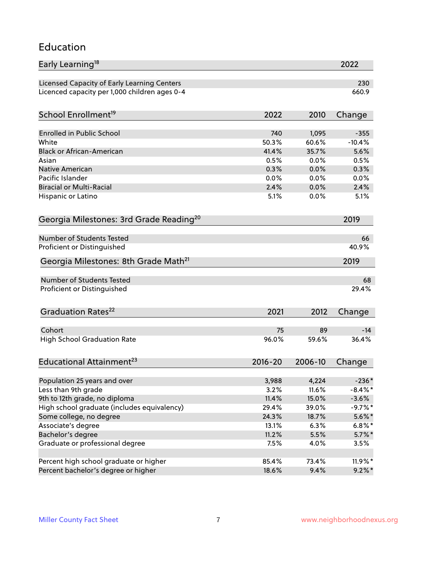#### Education

| Early Learning <sup>18</sup>                                           |               |                | 2022                  |
|------------------------------------------------------------------------|---------------|----------------|-----------------------|
| Licensed Capacity of Early Learning Centers                            |               |                | 230                   |
| Licenced capacity per 1,000 children ages 0-4                          |               |                | 660.9                 |
|                                                                        |               |                |                       |
| School Enrollment <sup>19</sup>                                        | 2022          | 2010           | Change                |
| <b>Enrolled in Public School</b>                                       | 740           | 1,095          | $-355$                |
| White                                                                  | 50.3%         | 60.6%          | $-10.4%$              |
| <b>Black or African-American</b>                                       | 41.4%         | 35.7%          | 5.6%                  |
| Asian                                                                  | 0.5%          | 0.0%           | 0.5%                  |
| Native American                                                        | 0.3%          | 0.0%           | 0.3%                  |
| Pacific Islander                                                       | 0.0%          | 0.0%           | 0.0%                  |
| <b>Biracial or Multi-Racial</b>                                        | 2.4%          | 0.0%           | 2.4%                  |
| Hispanic or Latino                                                     | 5.1%          | 0.0%           | 5.1%                  |
| Georgia Milestones: 3rd Grade Reading <sup>20</sup>                    |               |                | 2019                  |
|                                                                        |               |                |                       |
| <b>Number of Students Tested</b>                                       |               |                | 66                    |
| Proficient or Distinguished                                            |               |                | 40.9%                 |
| Georgia Milestones: 8th Grade Math <sup>21</sup>                       |               |                | 2019                  |
| <b>Number of Students Tested</b>                                       |               |                | 68                    |
| Proficient or Distinguished                                            |               |                | 29.4%                 |
|                                                                        |               |                |                       |
| Graduation Rates <sup>22</sup>                                         | 2021          | 2012           | Change                |
|                                                                        |               |                |                       |
| Cohort                                                                 | 75            | 89             | $-14$                 |
| <b>High School Graduation Rate</b>                                     | 96.0%         | 59.6%          | 36.4%                 |
| Educational Attainment <sup>23</sup>                                   | $2016 - 20$   | 2006-10        | Change                |
|                                                                        |               |                |                       |
| Population 25 years and over<br>Less than 9th grade                    | 3,988         | 4,224          | $-236*$               |
|                                                                        | 3.2%<br>11.4% | 11.6%<br>15.0% | $-8.4\%$ *<br>$-3.6%$ |
| 9th to 12th grade, no diploma                                          | 29.4%         |                | $-9.7%$ *             |
| High school graduate (includes equivalency)<br>Some college, no degree | 24.3%         | 39.0%<br>18.7% | $5.6\%$ *             |
| Associate's degree                                                     | 13.1%         | 6.3%           |                       |
|                                                                        | 11.2%         |                | $6.8\%$ *             |
| Bachelor's degree<br>Graduate or professional degree                   | 7.5%          | 5.5%           | $5.7\%$ *             |
|                                                                        |               | 4.0%           | 3.5%                  |
| Percent high school graduate or higher                                 | 85.4%         | 73.4%          | 11.9%*                |
| Percent bachelor's degree or higher                                    | 18.6%         | 9.4%           | $9.2\%$ *             |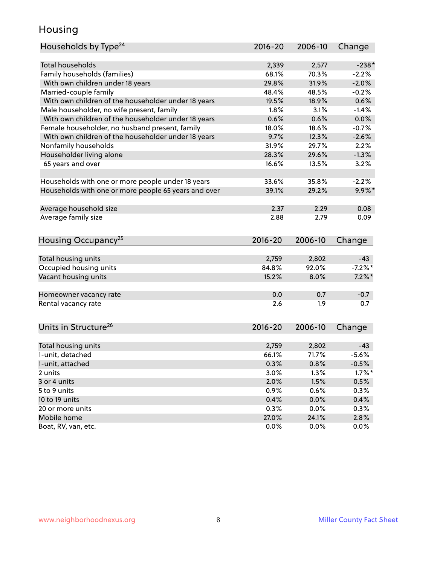### Housing

| Households by Type <sup>24</sup>                     | $2016 - 20$    | 2006-10        | Change             |
|------------------------------------------------------|----------------|----------------|--------------------|
|                                                      |                |                |                    |
| <b>Total households</b>                              | 2,339          | 2,577          | $-238*$            |
| Family households (families)                         | 68.1%          | 70.3%          | $-2.2%$            |
| With own children under 18 years                     | 29.8%          | 31.9%          | $-2.0%$            |
| Married-couple family                                | 48.4%          | 48.5%          | $-0.2%$            |
| With own children of the householder under 18 years  | 19.5%          | 18.9%          | 0.6%               |
| Male householder, no wife present, family            | 1.8%           | 3.1%           | $-1.4%$            |
| With own children of the householder under 18 years  | 0.6%           | 0.6%           | 0.0%               |
| Female householder, no husband present, family       | 18.0%          | 18.6%          | $-0.7%$            |
| With own children of the householder under 18 years  | 9.7%           | 12.3%          | $-2.6%$            |
| Nonfamily households                                 | 31.9%          | 29.7%          | 2.2%               |
| Householder living alone                             | 28.3%          | 29.6%          | $-1.3%$            |
| 65 years and over                                    | 16.6%          | 13.5%          | 3.2%               |
|                                                      | 33.6%          | 35.8%          | $-2.2%$            |
| Households with one or more people under 18 years    |                |                |                    |
| Households with one or more people 65 years and over | 39.1%          | 29.2%          | $9.9\%$ *          |
| Average household size                               | 2.37           | 2.29           | 0.08               |
| Average family size                                  | 2.88           | 2.79           | 0.09               |
|                                                      |                |                |                    |
| Housing Occupancy <sup>25</sup>                      | $2016 - 20$    | 2006-10        | Change             |
|                                                      |                |                |                    |
| Total housing units                                  | 2,759<br>84.8% | 2,802<br>92.0% | $-43$<br>$-7.2%$ * |
| Occupied housing units                               |                |                |                    |
| Vacant housing units                                 | 15.2%          | 8.0%           | $7.2\%$ *          |
| Homeowner vacancy rate                               | 0.0            | 0.7            | $-0.7$             |
| Rental vacancy rate                                  | 2.6            | 1.9            | 0.7                |
|                                                      |                |                |                    |
| Units in Structure <sup>26</sup>                     | $2016 - 20$    | 2006-10        | Change             |
|                                                      |                |                |                    |
| Total housing units                                  | 2,759          | 2,802          | $-43$              |
| 1-unit, detached                                     | 66.1%          | 71.7%          | $-5.6%$            |
| 1-unit, attached                                     | 0.3%           | 0.8%           | $-0.5%$            |
| 2 units                                              | 3.0%           | 1.3%           | $1.7\%$ *          |
| 3 or 4 units                                         | 2.0%           | 1.5%           | 0.5%               |
| 5 to 9 units                                         | 0.9%           | 0.6%           | 0.3%               |
| 10 to 19 units                                       | 0.4%           | 0.0%           | 0.4%               |
| 20 or more units                                     | 0.3%           | 0.0%           | 0.3%               |
| Mobile home                                          | 27.0%          | 24.1%          | 2.8%               |
| Boat, RV, van, etc.                                  | 0.0%           | 0.0%           | 0.0%               |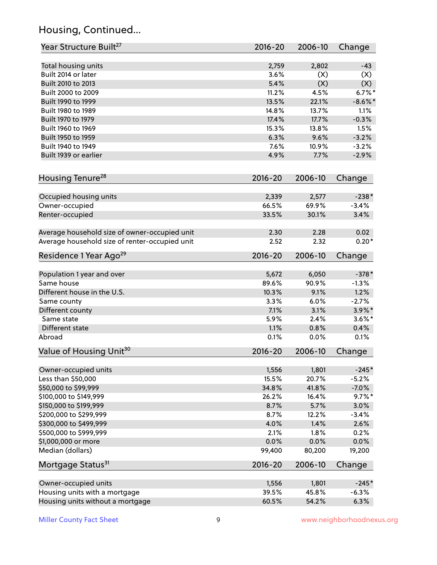# Housing, Continued...

| Year Structure Built <sup>27</sup>             | 2016-20     | 2006-10 | Change     |
|------------------------------------------------|-------------|---------|------------|
| Total housing units                            | 2,759       | 2,802   | $-43$      |
| Built 2014 or later                            | 3.6%        | (X)     | (X)        |
| Built 2010 to 2013                             | 5.4%        | (X)     | (X)        |
| Built 2000 to 2009                             | 11.2%       | 4.5%    | $6.7%$ *   |
| Built 1990 to 1999                             | 13.5%       | 22.1%   | $-8.6\%$ * |
| Built 1980 to 1989                             | 14.8%       | 13.7%   | 1.1%       |
| Built 1970 to 1979                             | 17.4%       | 17.7%   | $-0.3%$    |
| Built 1960 to 1969                             | 15.3%       | 13.8%   | 1.5%       |
| Built 1950 to 1959                             | 6.3%        | 9.6%    | $-3.2%$    |
| Built 1940 to 1949                             | 7.6%        | 10.9%   | $-3.2%$    |
| Built 1939 or earlier                          | 4.9%        | 7.7%    | $-2.9%$    |
| Housing Tenure <sup>28</sup>                   | $2016 - 20$ | 2006-10 | Change     |
|                                                |             |         |            |
| Occupied housing units                         | 2,339       | 2,577   | $-238*$    |
| Owner-occupied                                 | 66.5%       | 69.9%   | $-3.4%$    |
| Renter-occupied                                | 33.5%       | 30.1%   | 3.4%       |
| Average household size of owner-occupied unit  | 2.30        | 2.28    | 0.02       |
| Average household size of renter-occupied unit | 2.52        | 2.32    | $0.20*$    |
| Residence 1 Year Ago <sup>29</sup>             | 2016-20     | 2006-10 | Change     |
| Population 1 year and over                     | 5,672       | 6,050   | $-378*$    |
| Same house                                     | 89.6%       | 90.9%   | $-1.3%$    |
| Different house in the U.S.                    | 10.3%       | 9.1%    | 1.2%       |
| Same county                                    | 3.3%        | 6.0%    | $-2.7%$    |
| Different county                               | 7.1%        | 3.1%    | $3.9\%$ *  |
| Same state                                     | 5.9%        | 2.4%    | $3.6\%$ *  |
| Different state                                | 1.1%        | 0.8%    | 0.4%       |
| Abroad                                         | 0.1%        | 0.0%    | 0.1%       |
|                                                |             |         |            |
| Value of Housing Unit <sup>30</sup>            | $2016 - 20$ | 2006-10 | Change     |
| Owner-occupied units                           | 1,556       | 1,801   | $-245*$    |
| Less than \$50,000                             | 15.5%       | 20.7%   | $-5.2%$    |
| \$50,000 to \$99,999                           | 34.8%       | 41.8%   | $-7.0%$    |
| \$100,000 to \$149,999                         | 26.2%       | 16.4%   | $9.7\%$ *  |
| \$150,000 to \$199,999                         | 8.7%        | 5.7%    | 3.0%       |
| \$200,000 to \$299,999                         | 8.7%        | 12.2%   | $-3.4%$    |
| \$300,000 to \$499,999                         | 4.0%        | 1.4%    | 2.6%       |
| \$500,000 to \$999,999                         | 2.1%        | 1.8%    | 0.2%       |
| \$1,000,000 or more                            | 0.0%        | 0.0%    | 0.0%       |
| Median (dollars)                               | 99,400      | 80,200  | 19,200     |
| Mortgage Status <sup>31</sup>                  | 2016-20     | 2006-10 | Change     |
| Owner-occupied units                           | 1,556       | 1,801   | $-245*$    |
| Housing units with a mortgage                  | 39.5%       | 45.8%   | $-6.3%$    |
| Housing units without a mortgage               | 60.5%       | 54.2%   | 6.3%       |
|                                                |             |         |            |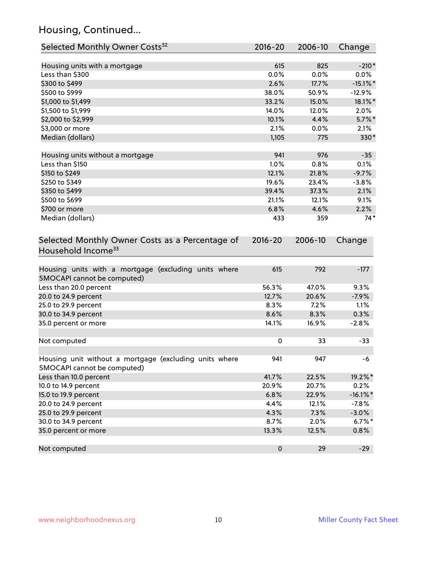# Housing, Continued...

| Selected Monthly Owner Costs <sup>32</sup>                                            | 2016-20     | 2006-10 | Change      |
|---------------------------------------------------------------------------------------|-------------|---------|-------------|
| Housing units with a mortgage                                                         | 615         | 825     | $-210*$     |
| Less than \$300                                                                       | 0.0%        | 0.0%    | 0.0%        |
| \$300 to \$499                                                                        | 2.6%        | 17.7%   | $-15.1\%$ * |
| \$500 to \$999                                                                        | 38.0%       | 50.9%   | $-12.9%$    |
| \$1,000 to \$1,499                                                                    | 33.2%       | 15.0%   | 18.1%*      |
| \$1,500 to \$1,999                                                                    | 14.0%       | 12.0%   | 2.0%        |
| \$2,000 to \$2,999                                                                    | 10.1%       | 4.4%    | $5.7\%$ *   |
| \$3,000 or more                                                                       | 2.1%        | 0.0%    | 2.1%        |
| Median (dollars)                                                                      | 1,105       | 775     | 330*        |
|                                                                                       |             |         |             |
| Housing units without a mortgage                                                      | 941         | 976     | $-35$       |
| Less than \$150                                                                       | 1.0%        | 0.8%    | 0.1%        |
| \$150 to \$249                                                                        | 12.1%       | 21.8%   | $-9.7%$     |
| \$250 to \$349                                                                        | 19.6%       | 23.4%   | $-3.8%$     |
| \$350 to \$499                                                                        | 39.4%       | 37.3%   | 2.1%        |
| \$500 to \$699                                                                        | 21.1%       | 12.1%   | 9.1%        |
| \$700 or more                                                                         | 6.8%        | 4.6%    | 2.2%        |
| Median (dollars)                                                                      | 433         | 359     | $74*$       |
| Selected Monthly Owner Costs as a Percentage of<br>Household Income <sup>33</sup>     | $2016 - 20$ | 2006-10 | Change      |
| Housing units with a mortgage (excluding units where<br>SMOCAPI cannot be computed)   | 615         | 792     | $-177$      |
| Less than 20.0 percent                                                                | 56.3%       | 47.0%   | 9.3%        |
| 20.0 to 24.9 percent                                                                  | 12.7%       | 20.6%   | $-7.9%$     |
| 25.0 to 29.9 percent                                                                  | 8.3%        | 7.2%    | 1.1%        |
| 30.0 to 34.9 percent                                                                  | 8.6%        | 8.3%    | 0.3%        |
| 35.0 percent or more                                                                  | 14.1%       | 16.9%   | $-2.8%$     |
| Not computed                                                                          | $\pmb{0}$   | 33      | $-33$       |
| Housing unit without a mortgage (excluding units where<br>SMOCAPI cannot be computed) | 941         | 947     | -6          |
| Less than 10.0 percent                                                                | 41.7%       | 22.5%   | 19.2%*      |
| 10.0 to 14.9 percent                                                                  | 20.9%       | 20.7%   | 0.2%        |
| 15.0 to 19.9 percent                                                                  | 6.8%        | 22.9%   | $-16.1\%$ * |
| 20.0 to 24.9 percent                                                                  | 4.4%        | 12.1%   | $-7.8%$     |
| 25.0 to 29.9 percent                                                                  | 4.3%        | 7.3%    | $-3.0%$     |
| 30.0 to 34.9 percent                                                                  | 8.7%        | 2.0%    | $6.7\%$ *   |
| 35.0 percent or more                                                                  | 13.3%       | 12.5%   | 0.8%        |
| Not computed                                                                          | $\pmb{0}$   | 29      | $-29$       |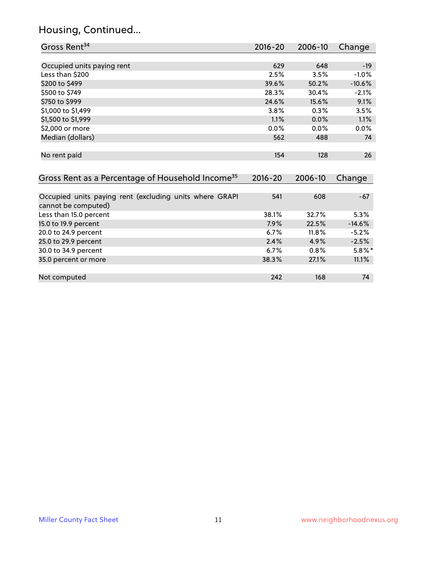# Housing, Continued...

| Gross Rent <sup>34</sup>                                     | 2016-20     | 2006-10 | Change    |
|--------------------------------------------------------------|-------------|---------|-----------|
|                                                              |             |         |           |
| Occupied units paying rent                                   | 629         | 648     | $-19$     |
| Less than \$200                                              | 2.5%        | 3.5%    | $-1.0%$   |
| \$200 to \$499                                               | 39.6%       | 50.2%   | $-10.6%$  |
| \$500 to \$749                                               | 28.3%       | 30.4%   | $-2.1%$   |
| \$750 to \$999                                               | 24.6%       | 15.6%   | 9.1%      |
| \$1,000 to \$1,499                                           | 3.8%        | 0.3%    | 3.5%      |
| \$1,500 to \$1,999                                           | 1.1%        | 0.0%    | 1.1%      |
| \$2,000 or more                                              | 0.0%        | 0.0%    | 0.0%      |
| Median (dollars)                                             | 562         | 488     | 74        |
|                                                              |             |         |           |
| No rent paid                                                 | 154         | 128     | 26        |
|                                                              |             |         |           |
| Gross Rent as a Percentage of Household Income <sup>35</sup> | $2016 - 20$ | 2006-10 | Change    |
|                                                              |             |         |           |
| Occupied units paying rent (excluding units where GRAPI      | 541         | 608     | $-67$     |
| cannot be computed)                                          |             |         |           |
| Less than 15.0 percent                                       | 38.1%       | 32.7%   | 5.3%      |
| 15.0 to 19.9 percent                                         | 7.9%        | 22.5%   | $-14.6%$  |
| 20.0 to 24.9 percent                                         | 6.7%        | 11.8%   | $-5.2%$   |
| 25.0 to 29.9 percent                                         | 2.4%        | 4.9%    | $-2.5%$   |
| 30.0 to 34.9 percent                                         | 6.7%        | 0.8%    | $5.8\%$ * |
| 35.0 percent or more                                         | 38.3%       | 27.1%   | 11.1%     |
|                                                              |             |         |           |

| Not computed | 242<br>5 T A | 168 | 74 |
|--------------|--------------|-----|----|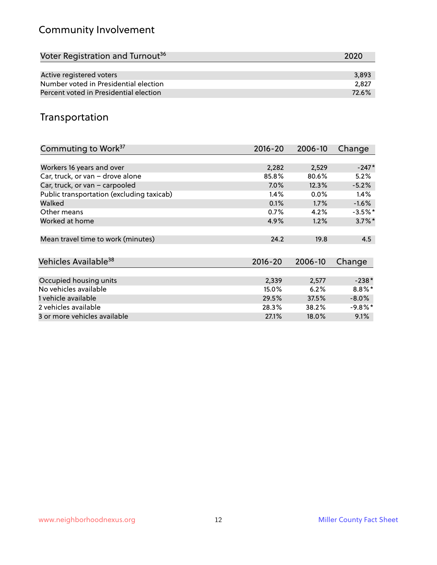# Community Involvement

| Voter Registration and Turnout <sup>36</sup> | 2020  |
|----------------------------------------------|-------|
|                                              |       |
| Active registered voters                     | 3,893 |
| Number voted in Presidential election        | 2.827 |
| Percent voted in Presidential election       | 72.6% |

## Transportation

| Commuting to Work <sup>37</sup>           | 2016-20     | 2006-10 | Change     |
|-------------------------------------------|-------------|---------|------------|
|                                           |             |         |            |
| Workers 16 years and over                 | 2,282       | 2,529   | $-247*$    |
| Car, truck, or van - drove alone          | 85.8%       | 80.6%   | 5.2%       |
| Car, truck, or van - carpooled            | $7.0\%$     | 12.3%   | $-5.2%$    |
| Public transportation (excluding taxicab) | 1.4%        | $0.0\%$ | $1.4\%$    |
| Walked                                    | 0.1%        | $1.7\%$ | $-1.6%$    |
| Other means                               | 0.7%        | 4.2%    | $-3.5%$ *  |
| Worked at home                            | 4.9%        | 1.2%    | $3.7\%$ *  |
|                                           |             |         |            |
| Mean travel time to work (minutes)        | 24.2        | 19.8    | 4.5        |
|                                           |             |         |            |
| Vehicles Available <sup>38</sup>          | $2016 - 20$ | 2006-10 | Change     |
|                                           |             |         |            |
| Occupied housing units                    | 2,339       | 2,577   | $-238*$    |
| No vehicles available                     | 15.0%       | 6.2%    | $8.8\%$ *  |
| 1 vehicle available                       | 29.5%       | 37.5%   | $-8.0\%$   |
| 2 vehicles available                      | 28.3%       | 38.2%   | $-9.8\%$ * |
| 3 or more vehicles available              | 27.1%       | 18.0%   | 9.1%       |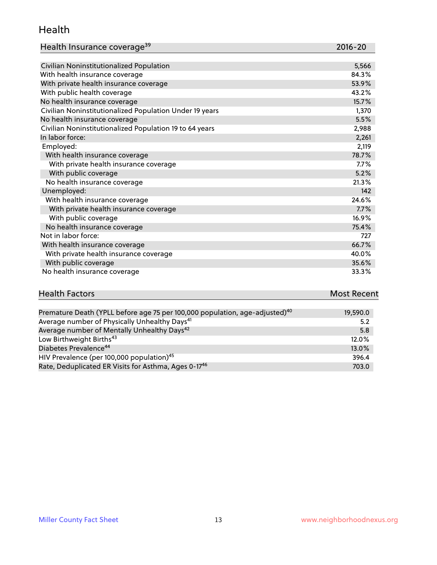#### Health

| Health Insurance coverage <sup>39</sup> | 2016-20 |
|-----------------------------------------|---------|
|-----------------------------------------|---------|

| Civilian Noninstitutionalized Population                | 5,566 |
|---------------------------------------------------------|-------|
| With health insurance coverage                          | 84.3% |
| With private health insurance coverage                  | 53.9% |
| With public health coverage                             | 43.2% |
| No health insurance coverage                            | 15.7% |
| Civilian Noninstitutionalized Population Under 19 years | 1,370 |
| No health insurance coverage                            | 5.5%  |
| Civilian Noninstitutionalized Population 19 to 64 years | 2,988 |
| In labor force:                                         | 2,261 |
| Employed:                                               | 2,119 |
| With health insurance coverage                          | 78.7% |
| With private health insurance coverage                  | 7.7%  |
| With public coverage                                    | 5.2%  |
| No health insurance coverage                            | 21.3% |
| Unemployed:                                             | 142   |
| With health insurance coverage                          | 24.6% |
| With private health insurance coverage                  | 7.7%  |
| With public coverage                                    | 16.9% |
| No health insurance coverage                            | 75.4% |
| Not in labor force:                                     | 727   |
| With health insurance coverage                          | 66.7% |
| With private health insurance coverage                  | 40.0% |
| With public coverage                                    | 35.6% |
| No health insurance coverage                            | 33.3% |

| <b>Health Factors</b>                                                                   | <b>Most Recent</b> |
|-----------------------------------------------------------------------------------------|--------------------|
|                                                                                         |                    |
| Premature Death (YPLL before age 75 per 100,000 population, age-adjusted) <sup>40</sup> | 19,590.0           |

| Premature Death (TPLL before age 75 per 100,000 population, age-adjusted). | <b>19,590.0</b> |
|----------------------------------------------------------------------------|-----------------|
| Average number of Physically Unhealthy Days <sup>41</sup>                  | 5.2             |
| Average number of Mentally Unhealthy Days <sup>42</sup>                    | 5.8             |
| Low Birthweight Births <sup>43</sup>                                       | 12.0%           |
| Diabetes Prevalence <sup>44</sup>                                          | 13.0%           |
| HIV Prevalence (per 100,000 population) <sup>45</sup>                      | 396.4           |
| Rate, Deduplicated ER Visits for Asthma, Ages 0-17 <sup>46</sup>           | 703.0           |